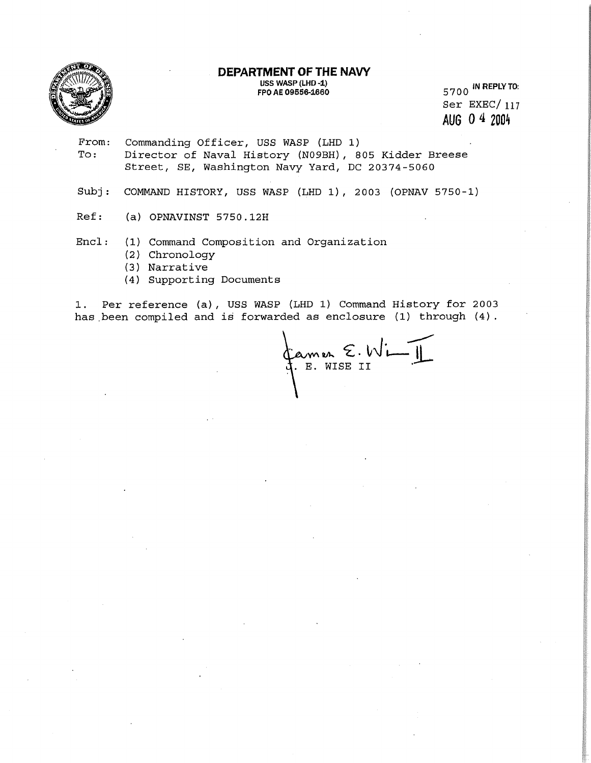

**USS WASP (LHD -1) FPO AE 09656-1660** 



5700 IN **REPLY TO:**  Ser EXEC/ 117 **AUG 0 4 2004** 

- From: Commanding Officer, USS WASP (LHD 1)<br>To: Director of Naval History (N09BH), 8 Director of Naval History (N09BH), 805 Kidder Breese Street, SE, Washington Navy Yard, DC 20374-5060
- Subj: COMMAND HISTORY, USS WASP (LHD 1), 2003 (OPNAV 5750-1)
- Ref: (a) OPNAVINST 5750.12H

Encl: (1) Command Composition and Organization

- (2) Chronology
- (3) Narrative
- (4) Supporting Documents

1. Per reference (a), USS WASP (LHD 1) Command History for 2003 has been compiled and is forwarded as enclosure (1) through (4) .

famer E. Wi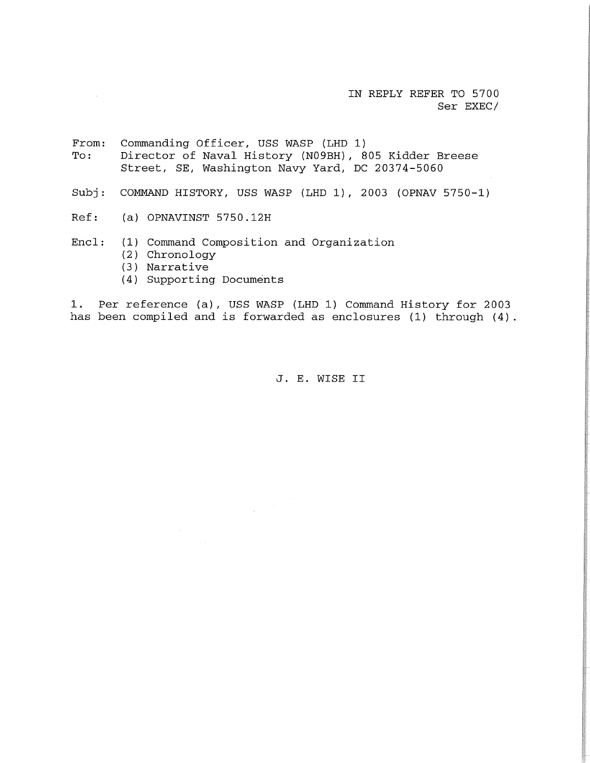IN REPLY REFER TO 5700 Ser EXEC/

From: Commanding Officer, USS WASP (LHD 1) To: Director of Naval History (N09BH), 805 Kidder Breese Street, SE, Washington Navy Yard, DC 20374-5060

- Subj: COMMAND HISTORY, USS WASP (LHD 1), 2003 (OPNAV 5750-1)
- Ref: (a) OPNAVINST 5750.12H

Encl: (1) Command Composition and Organization

- (2) Chronology
- (3) Narrative
- (4) Supporting Documents

1. Per reference (a), USS WASP (LHD 1) Command History for 2003 has been compiled and is forwarded as enclosures (1) through (4).

J. E. WISE II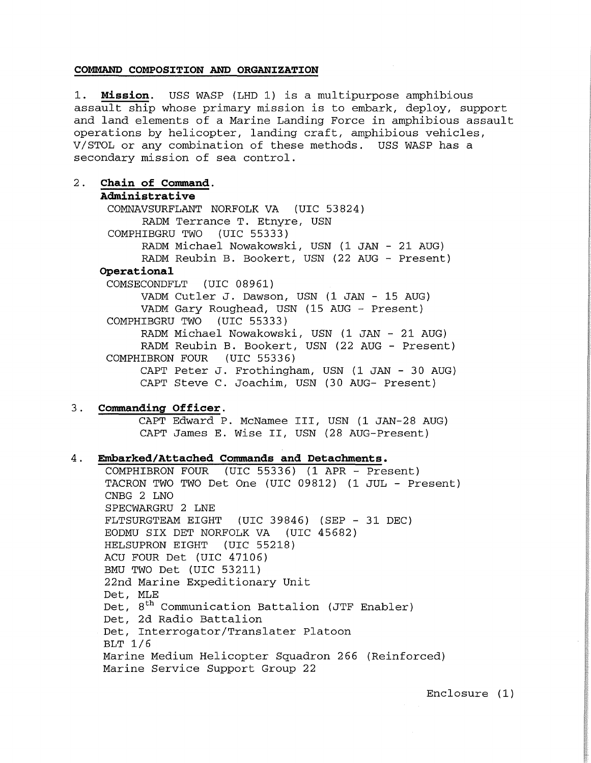### **COMMAND COMPOSITION AND ORGANIZATION**

1. **Mission.** USS WASP (LHD 1) is a multipurpose amphibious assault ship whose primary mission is to embark, deploy, support and land elements of a Marine Landing Force in amphibious assault operations by helicopter, landing craft, amphibious vehicles, V/STOL or any combination of these methods. USS WASP has a secondary mission of sea control.

2. **Chain of Command. Administrative**  COMNAVSURFLANT NORFOLK VA (UIC 53824) RADM Terrance T. Etnyre, USN COMPHIBGRU TWO (UIC 55333) RADM Michael Nowakowski, USN (1 JAN - 21 AUG) RADM Reubin B. Bookert, USN (22 AUG - Present) **Operational**  COMSECONDFLT (UIC 08961) VADM Cutler J. Dawson, USN (1 JAN - 15 AUG) VADM Gary Roughead, USN (15 AUG - Present) COMPHIBGRU TWO RADM Michael Nowakowski, USN (1 JAN - 21 AUG) RADM Reubin B. Bookert, USN (22 AUG - Present) COMPHIBRON FOUR (UIC 55336) CAPT Peter J. Frothingham, USN (1 JAN - 30 AUG) CAPT Steve C. Joachim, USN (30 AUG- Present)

### 3. **Commanding Officer.**

CAPT Edward P. McNamee III, USN (1 JAN-28 AUG) CAPT James E. Wise II, USN (28 AUG-Present)

### 4. **Embarked/Attached Commands and Detachments.**

COMPHIBRON FOUR (UIC 55336) (1 APR - Present) TACRON TWO TWO Det One (UIC 09812) (1 JUL - Present) CNBG 2 LNO SPECWARGRU 2 LNE FLTSURGTEAM EIGHT (UIC 39846) (SEP - 31 DEC) EODMU SIX DET NORFOLK VA (UIC 45682) HELSUPRON EIGHT (UIC 55218) ACU FOUR Det (UIC 47106) BMU TWO Det (UIC 53211) 22nd Marine Expeditionary Unit Det, MLE Det,  $8<sup>th</sup>$  Communication Battalion (JTF Enabler) Det, 2d Radio Battalion Det, Interrogator/Translater Platoon BLT 1/6 Marine Medium Helicopter Squadron 266 (Reinforced) Marine Service Support Group 22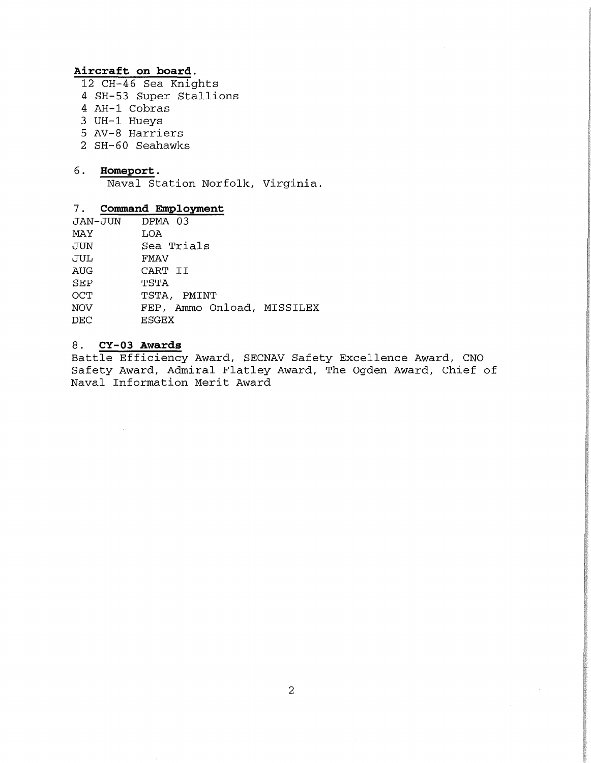### **Aircraft on board.**

- 12 CH-46 Sea Knights
- 4 SH-53 Super Stallions
- 4 AH-1 Cobras
- 3 UH-1 Hueys
- 5 AV-8 Harriers
- 2 SH-60 Seahawks

### 6 . **Homeport** .

Naval Station Norfolk, Virginia.

# 7. **Command Employment**

| DPMA 03                    |  |
|----------------------------|--|
| LOA                        |  |
| Sea Trials                 |  |
| FMAV                       |  |
| CART II                    |  |
| TSTA                       |  |
| TSTA, PMINT                |  |
| FEP, Ammo Onload, MISSILEX |  |
| <b>ESGEX</b>               |  |
|                            |  |

## 8. **CY-03 Awards**

Battle Efficiency Award, SECNAV Safety Excellence Award, CNO Safety Award, Admiral Flatley Award, The Ogden Award, Chief of Naval Information Merit Award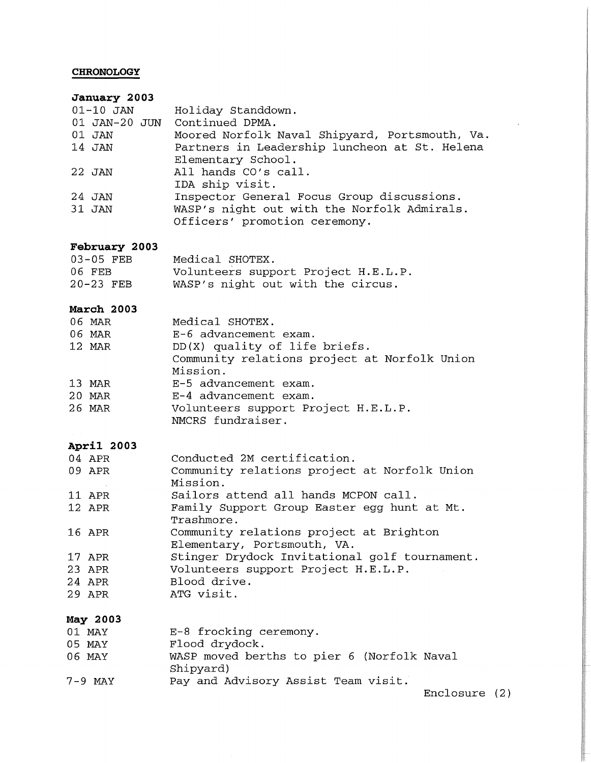# **CHRONOLOGY**

# **January 2003**

| $01 - 10$ JAN | Holiday Standdown.                             |
|---------------|------------------------------------------------|
|               | 01 JAN-20 JUN Continued DPMA.                  |
| 01 JAN        | Moored Norfolk Naval Shipyard, Portsmouth, Va. |
| 14 JAN        | Partners in Leadership luncheon at St. Helena  |
|               | Elementary School.                             |
| 22 JAN        | All hands CO's call.                           |
|               | IDA ship visit.                                |
| 24 JAN        | Inspector General Focus Group discussions.     |
| 31 JAN        | WASP's night out with the Norfolk Admirals.    |
|               | Officers' promotion ceremony.                  |

# **February 2003**

| $03-05$ FEB | Medical SHOTEX.                     |
|-------------|-------------------------------------|
| 06 FEB      | Volunteers support Project H.E.L.P. |
| $20-23$ FEB | WASP's night out with the circus.   |

### **March 2003**

| 06 MAR | Medical SHOTEX.                              |
|--------|----------------------------------------------|
| 06 MAR | E-6 advancement exam.                        |
| 12 MAR | DD(X) quality of life briefs.                |
|        | Community relations project at Norfolk Union |
|        | Mission.                                     |
| 13 MAR | E-5 advancement exam.                        |
| 20 MAR | E-4 advancement exam.                        |
| 26 MAR | Volunteers support Project H.E.L.P.          |
|        | NMCRS fundraiser.                            |

### **April 2003**

| 04 APR | Conducted 2M certification.                   |
|--------|-----------------------------------------------|
| 09 APR | Community relations project at Norfolk Union  |
|        | Mission.                                      |
| 11 APR | Sailors attend all hands MCPON call.          |
| 12 APR | Family Support Group Easter egg hunt at Mt.   |
|        | Trashmore.                                    |
| 16 APR | Community relations project at Brighton       |
|        | Elementary, Portsmouth, VA.                   |
| 17 APR | Stinger Drydock Invitational golf tournament. |
| 23 APR | Volunteers support Project H.E.L.P.           |
| 24 APR | Blood drive.                                  |
| 29 APR | ATG visit.                                    |
|        |                                               |

# **May 2003**

| 01 MAY  | E-8 frocking ceremony.                                  |
|---------|---------------------------------------------------------|
| 05 MAY  | Flood drydock.                                          |
| 06 MAY  | WASP moved berths to pier 6 (Norfolk Naval<br>Shipyard) |
| 7-9 MAY | Pay and Advisory Assist Team visit.                     |

Enclosure (2)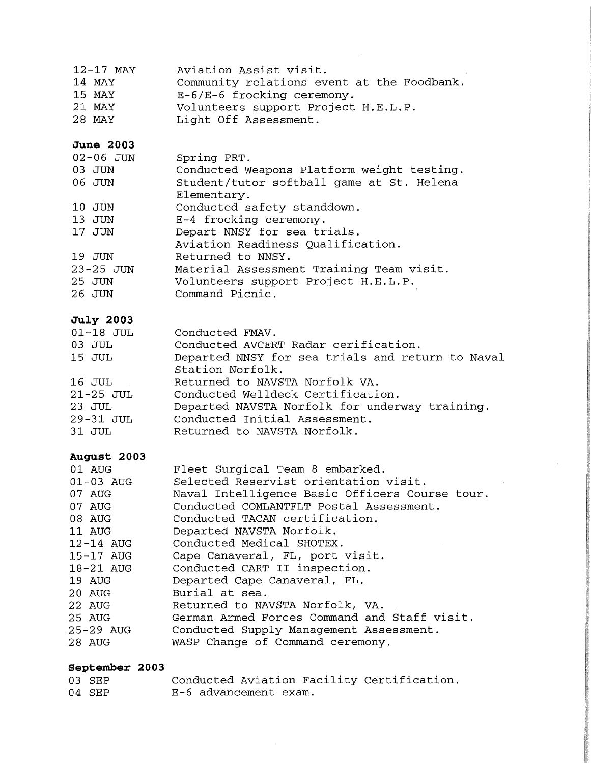| $12-17$ MAY | Aviation Assist visit.                     |
|-------------|--------------------------------------------|
| 14 MAY      | Community relations event at the Foodbank. |
| 15 MAY      | $E-6/E-6$ frocking ceremony.               |
| 21 MAY      | Volunteers support Project H.E.L.P.        |
| 28 MAY      | Light Off Assessment.                      |

## **June 2003**

| 02-06 JUN     | Spring PRT.                                |
|---------------|--------------------------------------------|
| 03 JUN        | Conducted Weapons Platform weight testing. |
| 06 JUN        | Student/tutor softball game at St. Helena  |
|               | Elementary.                                |
| 10 JUN        | Conducted safety standdown.                |
| 13 JUN        | E-4 frocking ceremony.                     |
| 17 JUN        | Depart NNSY for sea trials.                |
|               | Aviation Readiness Qualification.          |
| 19 JUN        | Returned to NNSY.                          |
| $23 - 25$ JUN | Material Assessment Training Team visit.   |
| 25 JUN        | Volunteers support Project H.E.L.P.        |
| 26 JUN        | Command Picnic.                            |

# **July 2003**

| $01 - 18$ JUL | Conducted FMAV.                                  |
|---------------|--------------------------------------------------|
| $03$ JUL      | Conducted AVCERT Radar cerification.             |
| 15 JUL        | Departed NNSY for sea trials and return to Naval |
|               | Station Norfolk.                                 |
| 16 JUL        | Returned to NAVSTA Norfolk VA.                   |
| $21-25$ JUL   | Conducted Welldeck Certification.                |
| 23 JUL        | Departed NAVSTA Norfolk for underway training.   |
| 29-31 JUL     | Conducted Initial Assessment.                    |
| 31 JUL        | Returned to NAVSTA Norfolk.                      |

 $\hat{\mathcal{A}}$ 

 $\sim$ 

# **August 2003**

| 01 AUG<br>01-03 AUG | Fleet Surgical Team 8 embarked.<br>Selected Reservist orientation visit. |
|---------------------|--------------------------------------------------------------------------|
| 07 AUG              | Naval Intelligence Basic Officers Course tour.                           |
| 07 AUG              | Conducted COMLANTFLT Postal Assessment.                                  |
| 08 AUG              | Conducted TACAN certification.                                           |
| 11 AUG              | Departed NAVSTA Norfolk.                                                 |
| 12-14 AUG           | Conducted Medical SHOTEX.                                                |
| $15-17$ AUG         | Cape Canaveral, FL, port visit.                                          |
| 18-21 AUG           | Conducted CART II inspection.                                            |
| 19 AUG              | Departed Cape Canaveral, FL.                                             |
| 20 AUG              | Burial at sea.                                                           |
| 22 AUG              | Returned to NAVSTA Norfolk, VA.                                          |
| 25 AUG              | German Armed Forces Command and Staff visit.                             |
| 25-29 AUG           | Conducted Supply Management Assessment.                                  |
| 28 AUG              | WASP Change of Command ceremony.                                         |

# **September 2003**

| 03 SEP | Conducted Aviation Facility Certification. |
|--------|--------------------------------------------|
| 04 SEP | E-6 advancement exam.                      |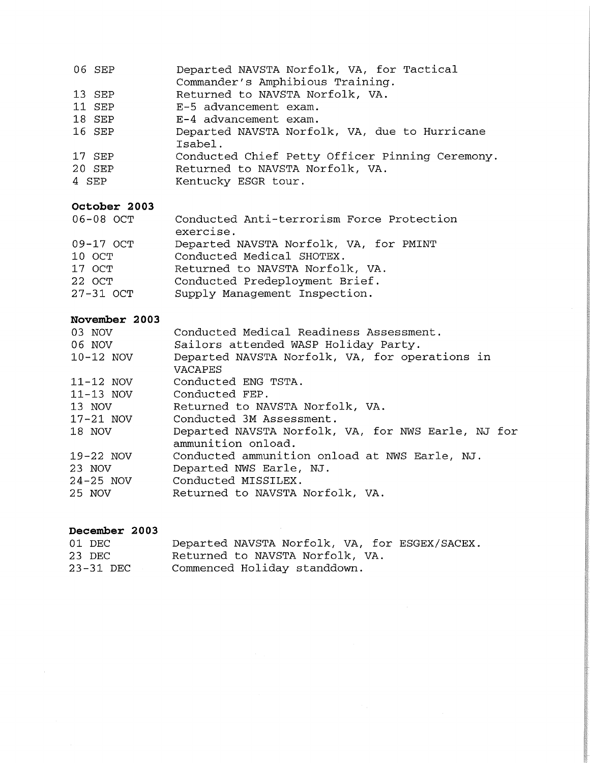| 06 SEP | Departed NAVSTA Norfolk, VA, for Tactical     |
|--------|-----------------------------------------------|
|        | Commander's Amphibious Training.              |
| 13 SEP | Returned to NAVSTA Norfolk, VA.               |
| 11 SEP | E-5 advancement exam.                         |
| 18 SEP | E-4 advancement exam.                         |
| 16 SEP | Departed NAVSTA Norfolk, VA, due to Hurricane |
|        | Isabel.                                       |

- 17 SEP Conducted Chief Petty Officer Pinning Ceremony.
- 20 SEP Returned to NAVSTA Norfolk, VA.
- 4 SEP Kentucky ESGR tour.

# **October 2003**

| occopci avvs                                         |                                                                                                                                                                           |
|------------------------------------------------------|---------------------------------------------------------------------------------------------------------------------------------------------------------------------------|
| 06-08 OCT                                            | Conducted Anti-terrorism Force Protection<br>exercise.                                                                                                                    |
| 09-17 OCT<br>10 OCT<br>17 OCT<br>22 OCT<br>27-31 OCT | Departed NAVSTA Norfolk, VA, for PMINT<br>Conducted Medical SHOTEX.<br>Returned to NAVSTA Norfolk, VA.<br>Conducted Predeployment Brief.<br>Supply Management Inspection. |
|                                                      |                                                                                                                                                                           |

# **November 2003**

| 03 NOV        | Conducted Medical Readiness Assessment.            |  |  |  |  |  |
|---------------|----------------------------------------------------|--|--|--|--|--|
| 06 NOV        | Sailors attended WASP Holiday Party.               |  |  |  |  |  |
| $10-12$ NOV   | Departed NAVSTA Norfolk, VA, for operations in     |  |  |  |  |  |
|               | <b>VACAPES</b>                                     |  |  |  |  |  |
| $11-12$ NOV   | Conducted ENG TSTA.                                |  |  |  |  |  |
| $11-13$ NOV   | Conducted FEP.                                     |  |  |  |  |  |
| 13 NOV        | Returned to NAVSTA Norfolk, VA.                    |  |  |  |  |  |
| $17-21$ NOV   | Conducted 3M Assessment.                           |  |  |  |  |  |
| 18 NOV        | Departed NAVSTA Norfolk, VA, for NWS Earle, NJ for |  |  |  |  |  |
|               | ammunition onload.                                 |  |  |  |  |  |
| $19-22$ NOV   | Conducted ammunition onload at NWS Earle, NJ.      |  |  |  |  |  |
| 23 NOV        | Departed NWS Earle, NJ.                            |  |  |  |  |  |
| $24 - 25$ NOV | Conducted MISSILEX.                                |  |  |  |  |  |
| 25 NOV        | Returned to NAVSTA Norfolk, VA.                    |  |  |  |  |  |

# **December 2003**

| 01 DEC    |                                 |  |  | Departed NAVSTA Norfolk, VA, for ESGEX/SACEX. |
|-----------|---------------------------------|--|--|-----------------------------------------------|
| 23 DEC    | Returned to NAVSTA Norfolk, VA. |  |  |                                               |
| 23-31 DEC | Commenced Holiday standdown.    |  |  |                                               |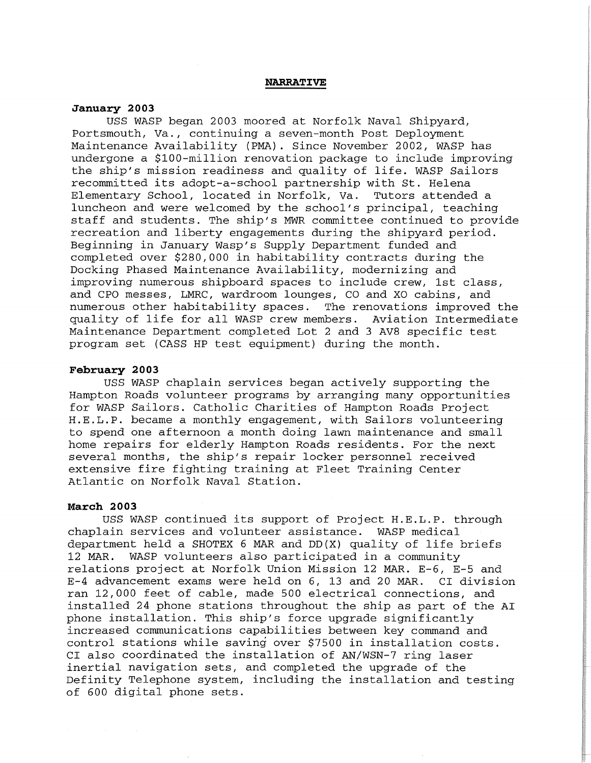#### **NARRATIVE**

#### **January 2003**

USS WASP began 2003 moored at Norfolk Naval Shipyard, Portsmouth, Va., continuing a seven-month Post Deployment Maintenance Availability (PMA). Since November 2002, WASP has undergone a \$100-million renovation package to include improving the ship's mission readiness and quality of life. WASP Sailors recommitted its adopt-a-school partnership with St. Helena Elementary School, located in Norfolk, Va. Tutors attended a luncheon and were welcomed by the school's principal, teaching staff and students. The ship's MWR committee continued to provide recreation and liberty engagements during the shipyard period. Beginning in January Wasp's Supply Department funded and completed over \$280,000 in habitability contracts during the Docking Phased Maintenance Availability, modernizing and improving numerous shipboard spaces to include crew, 1st class, and CPO messes, LMRC, wardroom lounges, CO and XO cabins, and numerous other habitability spaces. The renovations improved the quality of life for all WASP crew members. Aviation Intermediate Maintenance Department completed Lot 2 and 3 AV8 specific test program set (CASS HP test equipment) during the month.

### **February 2003**

USS WASP chaplain services began actively supporting the Hampton Roads volunteer programs by arranging many opportunities for WASP Sailors. Catholic Charities of Hampton Roads Project H.E.L.P. became a monthly engagement, with Sailors volunteering to spend one afternoon a month doing lawn maintenance and small home repairs for elderly Hampton Roads residents. For the next several months, the ship's repair locker personnel received extensive fire fighting training at Fleet Training Center Atlantic on Norfolk Naval Station.

#### **March 2003**

USS WASP continued its support of Project H.E.L.P. through chaplain services and volunteer assistance. WASP medical department held a SHOTEX 6 MAR and DD(X) quality of life briefs<br>12 MAR. WASP volunteers also participated in a community WASP volunteers also participated in a community relations project at Norfolk Union Mission 12 MAR. E-6, E-5 and E-4 advancement exams were held on 6, 13 and 20 MAR. CI division ran 12,000 feet of cable, made 500 electrical connections, and installed 24 phone stations throughout the ship as part of the AI phone installation. This ship's force upgrade significantly increased communications capabilities between key command and control stations while saving over \$7500 in installation costs. CI also coordinated the installation of AN/WSN-7 ring laser inertial navigation sets, and completed the upgrade of the Definity Telephone system, including the installation and testing of 600 digital phone sets.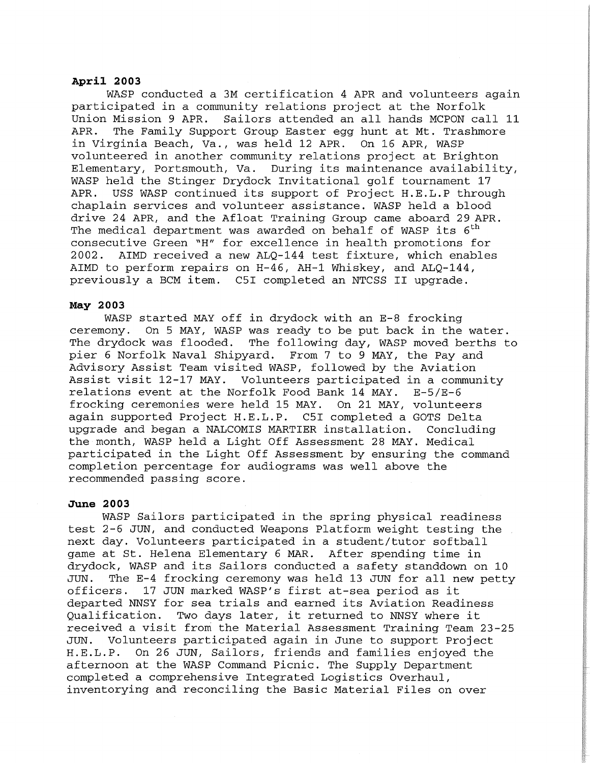#### **April 2003**

WASP conducted a 3M certification 4 APR and volunteers again participated in a community relations project at the Norfolk Union Mission 9 APR. Sailors attended an all hands MCPON call 11 APR. The Family Support Group Easter egg hunt at Mt. Trashmore in Virginia Beach, Va., was held 12 APR. On 16 APR, WASP volunteered in another community relations project at Brighton Elementary, Portsmouth, Va. During its maintenance availability, WASP held the Stinger Drydock Invitational golf tournament 17 APR. USS WASP continued its support of Project H.E.L.P through chaplain services and volunteer assistance. WASP held a blood drive 24 APR, and the Afloat Training Group came aboard 29 APR. The medical department was awarded on behalf of WASP its  $6^{\text{th}}$ consecutive Green "H" for excellence in health promotions for 2002. AIMD received a new ALQ-144 test fixture, which enables AIMD to perform repairs on H-46, AH-1 Whiskey, and ALQ-144, previously a BCM item. C5I completed an NTCSS II upgrade.

#### **May 2003**

WASP started MAY off in drydock with an E-8 frocking ceremony. On 5 MAY, WASP was ready to be put back in the water. The drydock was flooded. The following day, WASP moved berths to pier 6 Norfolk Naval Shipyard. From 7 to 9 MAY, the Pay and Advisory Assist Team visited WASP, followed by the Aviation Assist visit 12-17 MAY. Volunteers participated in a community relations event at the Norfolk Food Bank 14 MAY. E-5/E-6 frocking ceremonies were held 15 MAY. On 21 MAY, volunteers again supported Project H.E.L.P. C5I completed a GOTS Delta upgrade and began a NALCOMIS MARTIER installation. Concluding the month, WASP held a Light Off Assessment 28 MAY. Medical participated in the Light Off Assessment by ensuring the command completion percentage for audiograms was well above the recommended passing score.

### **June 2003**

WASP Sailors participated in the spring physical readiness test 2-6 JUN, and conducted Weapons Platform weight testing the next day. Volunteers participated in a student/tutor softball game at St. Helena Elementary 6 MAR. After spending time in drydock, WASP and its Sailors conducted a safety standdown on 10<br>JUN. The E-4 frocking ceremony was held 13 JUN for all new petty The E-4 frocking ceremony was held 13 JUN for all new petty officers. 17 JUN marked WASP's first at-sea period as it departed NNSY for sea trials and earned its Aviation Readiness<br>Oualification. Two days later, it returned to NNSY where it Two days later, it returned to NNSY where it received a visit from the Material Assessment Training Team 23-25 JUN. Volunteers participated again in June to support Project H.E.L.P. On 26 JUN, Sailors, friends and families enjoyed the afternoon at the WASP Command Picnic. The Supply Department completed a comprehensive Integrated Logistics Overhaul, inventorying and reconciling the Basic Material Files on over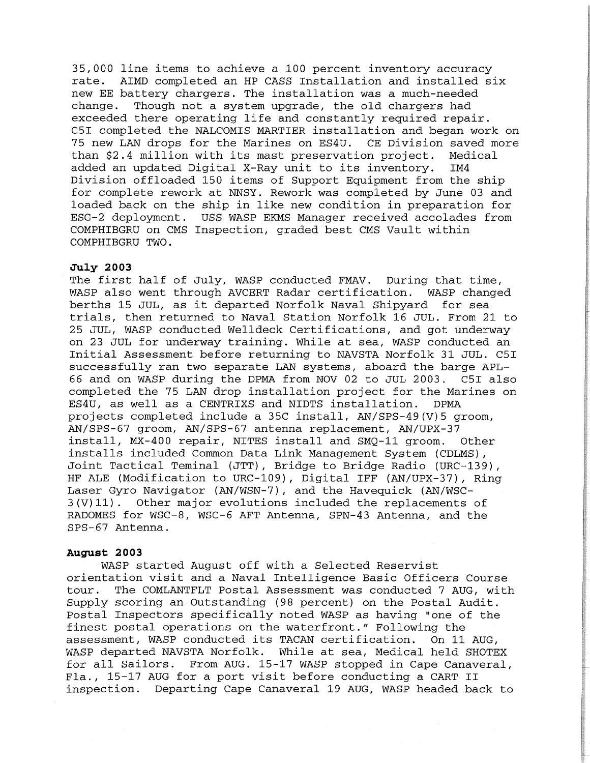35,000 line items to achieve a 100 percent inventory accuracy rate. AIMD completed an HP CASS Installation and installed six new EE battery chargers. The installation was a much-needed change. Though not a system upgrade, the old chargers had exceeded there operating life and constantly required repair. C5I completed the NALCOMIS MARTIER installation and began work on 75 new LAN drops for the Marines on ES4U. CE Division saved more than \$2.4 million with its mast preservation project. Medical added an updated Digital X-Ray unit to its inventory. IM4 Division offloaded 150 items of Support Equipment from the ship for complete rework at NNSY. Rework was completed by June 03 and loaded back on the ship in like new condition in preparation for ESG-2 deployment. USS WASP EKMS Manager received accolades from COMPHIBGRU on CMS Inspection, graded best CMS Vault within COMPHIBGRU TWO.

#### **July 2003**

The first half of July, WASP conducted FMAV. During that time, WASP also went through AVCERT Radar certification. WASP changed berths 15 JUL, as it departed Norfolk Naval Shipyard for sea trials, then returned to Naval Station Norfolk 16 JUL. From 21 to 25 JUL, WASP conducted Welldeck Certifications, and got underway on 23 JUL for underway training. While at sea, WASP conducted an Initial Assessment before returning to NAVSTA Norfolk 31 JUL. C5I successfully ran two separate LAN systems, aboard the barge APL-66 and on WASP during the DPMA from NOV 02 to JUL 2003. C5I also completed the 75 LAN drop installation project for the Marines on ES4U, as well as a CENTRIXS and NIDTS installation. DPMA projects completed include a 35C install, AN/SPS-49(V)5 groom, AN/SPS-67 groom, AN/SPS-67 antenna replacement, AN/UPX-37 install, MX-400 repair, NITES install and SMQ-11 groom. Other installs included Common Data Link Management System (CDLMS) , Joint Tactical Teminal (JTT), Bridge to Bridge Radio (URC-139), HF ALE (Modification to URC-109), Digital IFF (AN/UPX-37), Ring Laser Gyro Navigator (AN/WSN-7), and the Havequick (AN/WSC-3(V)11). Other major evolutions included the replacements of RADOMES for WSC-8, WSC-6 AFT Antenna, SPN-43 Antenna, and the SPS-67 Antenna.

#### **August 2003**

WASP started August off with a Selected Reservist orientation visit and a Naval Intelligence Basic Officers Course tour. The COMLANTFLT Postal Assessment was conducted 7 AUG, with Supply scoring an Outstanding (98 percent) on the Postal Audit. Postal Inspectors specifically noted WASP as having "one of the finest postal operations on the waterfront." Following the assessment, WASP conducted its TACAN certification. On 11 AUG, WASP departed NAVSTA Norfolk. While at sea, Medical held SHOTEX for all Sailors. From AUG. 15-17 WASP stopped in Cape Canaveral, Fla., 15-17 AUG for a port visit before conducting a CART II inspection. Departing Cape Canaveral 19 AUG, WASP headed back to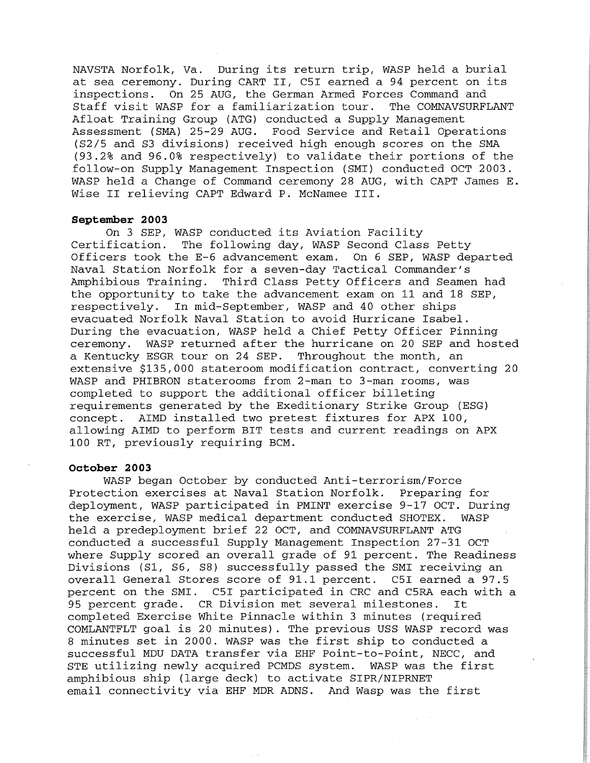NAVSTA Norfolk, Va. During its return trip, WASP held a burial at sea ceremony. During CART II, C5I earned a 94 percent on its inspections. On 25 AUG, the German Armed Forces Command and Staff visit WASP for a familiarization tour. Afloat Training Group (ATG) conducted a Supply Management Assessment (SMA) 25-29 AUG. Food Service and Retail Operations (S2/5 and S3 divisions) received high enough scores on the SMA (93.2% and 96.0% respectively) to validate their portions of the follow-on Supply Management Inspection (SMI) conducted OCT 2003. WASP held a Change of Command ceremony 28 AUG, with CAPT James E. Wise II relieving CAPT Edward P. McNamee III.

#### **September 2003**

On 3 SEP, WASP conducted its Aviation Facility<br>Certification. The following day, WASP Second Class The following day, WASP Second Class Petty Officers took the E-6 advancement exam. On 6 SEP, WASP departed Naval Station Norfolk for a seven-day Tactical Commander's Amphibious Training. Third Class Petty Officers and Seamen had the opportunity to take the advancement exam on 11 and 18 SEP, respectively. In mid-September, WASP and 40 other ships evacuated Norfolk Naval Station to avoid Hurricane Isabel. During the evacuation, WASP held a Chief Petty Officer Pinning ceremony. WASP returned after the hurricane on 20 SEP and hosted a Kentucky ESGR tour on 24 SEP. Throughout the month, an extensive \$135,000 stateroom modification contract, converting 20 WASP and PHIBRON staterooms from 2-man to 3-man rooms, was completed to support the additional officer billeting requirements generated by the Exeditionary Strike Group (ESG) concept. AIMD installed two pretest fixtures for APX 100, allowing AIMD to perform BIT tests and current readings on APX 100 RT, previously requiring BCM.

#### **October 2003**

WASP began October by conducted Anti-terrorism/Force Protection exercises at Naval Station Norfolk. Preparing for deployment, WASP participated in PMINT exercise 9-17 OCT. During the exercise, WASP medical department conducted SHOTEX. WASP held a predeployment brief 22 OCT, and COMNAVSURFLANT ATG conducted a successful Supply Management Inspection 27-31 OCT where Supply scored an overall grade of 91 percent. The Readiness Divisions (Sl, 86, S8) successfully passed the SMI receiving an overall General Stores score of 91.1 percent. C5I earned a 97.5 percent on the SMI. C5I participated in CRC and C5RA each with a 95 percent grade. CR Division met several milestones. It completed Exercise White Pinnacle within 3 minutes (required COMLANTFLT goal is 20 minutes) . The previous USS WASP record was 8 minutes set in 2000. WASP was the first ship to conducted a successful MDU DATA transfer via EHF Point-to-Point, NECC, and STE utilizing newly acquired PCMDS system. WASP was the first amphibious ship (large deck) to activate SIPR/NIPRNET email connectivity via EHF MDR ADNS. And Wasp was the first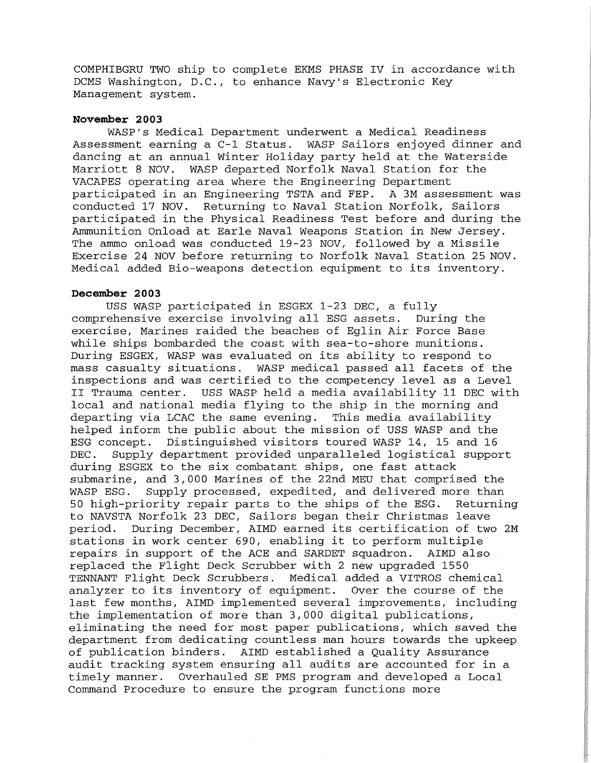COMPHIBGRU TWO ship to complete EKMS PHASE IV in accordance with DCMS Washington, D.C., to enhance Navy's Electronic Key Management system.

### **November 2003**

WASP'S Medical Department underwent a Medical Readiness Assessment earning a C-1 Status. WASP Sailors enjoyed dinner and dancing at an annual Winter Holiday party held at the Waterside Marriott 8 NOV. WASP departed Norfolk Naval Station for the VACAPES operating area where the Engineering Department participated in an Engineering TSTA and FEP. A 3M assessment was conducted 17 NOV. Returning to Naval Station Norfolk, Sailors participated in the Physical Readiness Test before and during the Ammunition Onload at Earle Naval Weapons Station in New Jersey. The ammo onload was conducted 19-23 NOV, followed by a Missile Exercise 24 NOV before returning to Norfolk Naval Station 25 NOV. Medical added Bio-weapons detection equipment to its inventory.

### **December 2003**

USS WASP participated in ESGEX 1-23 DEC, a fully comprehensive exercise involving all ESG assets. During the exercise, Marines raided the beaches of Eglin Air Force Base while ships bombarded the coast with sea-to-shore munitions. During ESGEX, WASP was evaluated on its ability to respond to mass casualty situations. WASP medical passed all facets of the inspections and was certified to the competency level as a Level II Trauma center. USS WASP held a media availability 11 DEC with local and national media flying to the ship in the morning and departing via LCAC the same evening. This media availability helped inform the public about the mission of USS WASP and the ESG concept. Distinguished visitors toured WASP 14, 15 and 16 DEC. Supply department provided unparalleled logistical support during ESGEX to the six combatant ships, one fast attack submarine, and 3,000 Marines of the 22nd MEU that comprised the WASP ESG. Supply processed, expedited, and delivered more than 50 high-priority repair parts to the ships of the ESG. Returning to NAVSTA Norfolk 23 DEC, Sailors began their Christmas leave period. During December, AIMD earned its certification of two 2M stations in work center 690, enabling it to perform multiple repairs in support of the ACE and SARDET squadron. AIMD also replaced the Flight Deck Scrubber with 2 new upgraded 1550 TENNANT Flight Deck Scrubbers. Medical added a VITROS chemical analyzer to its inventory of equipment. Over the course of the last few months, AIMD implemented several improvements, including the implementation of more than 3,000 digital publications, eliminating the need for most paper publications, which saved the department from dedicating countless man hours towards the upkeep of publication binders. AIMD established a Quality Assurance audit tracking system ensuring all audits are accounted for in a timely manner. Overhauled SE PMS program and developed a Local Command Procedure to ensure the program functions more